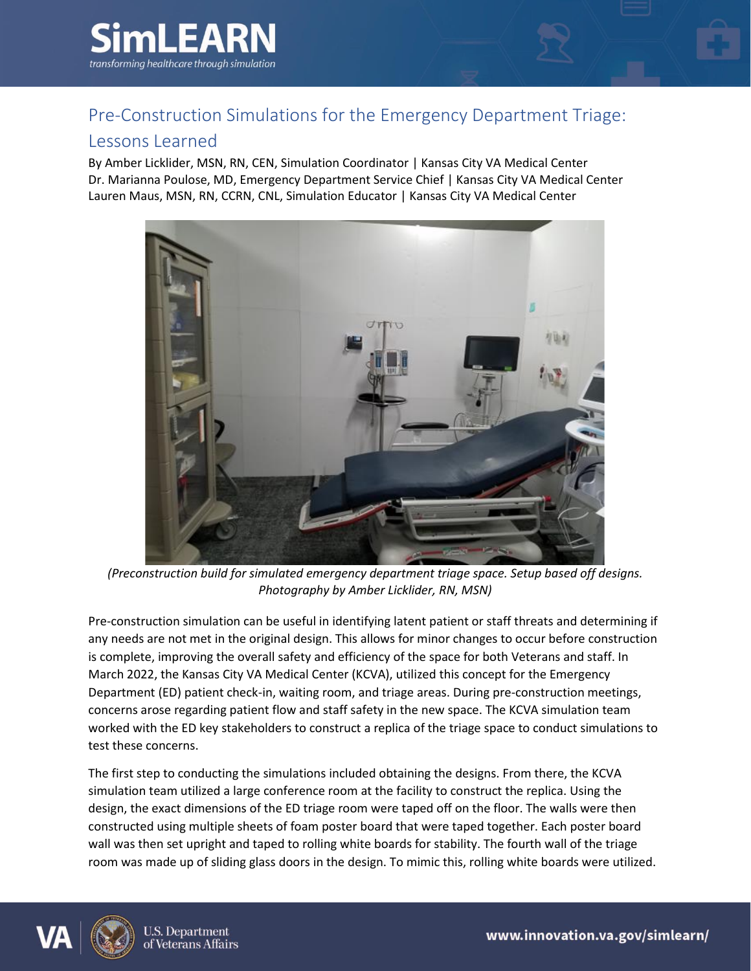

## Pre-Construction Simulations for the Emergency Department Triage:

## Lessons Learned

By Amber Licklider, MSN, RN, CEN, Simulation Coordinator | Kansas City VA Medical Center Dr. Marianna Poulose, MD, Emergency Department Service Chief | Kansas City VA Medical Center Lauren Maus, MSN, RN, CCRN, CNL, Simulation Educator | Kansas City VA Medical Center



*(Preconstruction build for simulated emergency department triage space. Setup based off designs. Photography by Amber Licklider, RN, MSN)*

Pre-construction simulation can be useful in identifying latent patient or staff threats and determining if any needs are not met in the original design. This allows for minor changes to occur before construction is complete, improving the overall safety and efficiency of the space for both Veterans and staff. In March 2022, the Kansas City VA Medical Center (KCVA), utilized this concept for the Emergency Department (ED) patient check-in, waiting room, and triage areas. During pre-construction meetings, concerns arose regarding patient flow and staff safety in the new space. The KCVA simulation team worked with the ED key stakeholders to construct a replica of the triage space to conduct simulations to test these concerns.

The first step to conducting the simulations included obtaining the designs. From there, the KCVA simulation team utilized a large conference room at the facility to construct the replica. Using the design, the exact dimensions of the ED triage room were taped off on the floor. The walls were then constructed using multiple sheets of foam poster board that were taped together. Each poster board wall was then set upright and taped to rolling white boards for stability. The fourth wall of the triage room was made up of sliding glass doors in the design. To mimic this, rolling white boards were utilized.

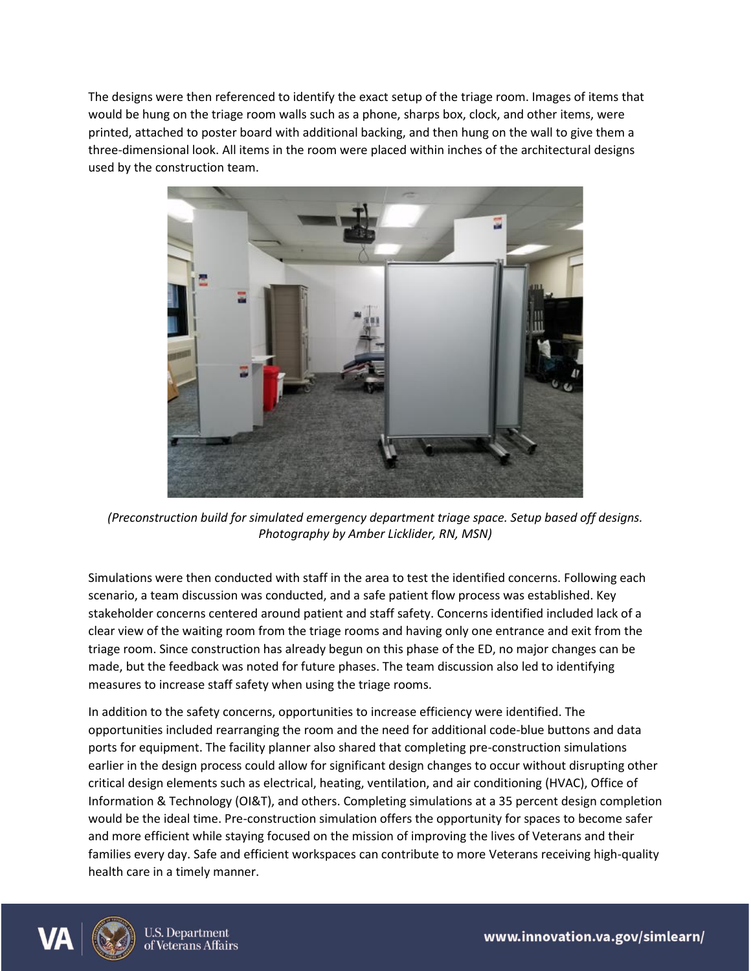The designs were then referenced to identify the exact setup of the triage room. Images of items that would be hung on the triage room walls such as a phone, sharps box, clock, and other items, were printed, attached to poster board with additional backing, and then hung on the wall to give them a three-dimensional look. All items in the room were placed within inches of the architectural designs used by the construction team.



*(Preconstruction build for simulated emergency department triage space. Setup based off designs. Photography by Amber Licklider, RN, MSN)*

Simulations were then conducted with staff in the area to test the identified concerns. Following each scenario, a team discussion was conducted, and a safe patient flow process was established. Key stakeholder concerns centered around patient and staff safety. Concerns identified included lack of a clear view of the waiting room from the triage rooms and having only one entrance and exit from the triage room. Since construction has already begun on this phase of the ED, no major changes can be made, but the feedback was noted for future phases. The team discussion also led to identifying measures to increase staff safety when using the triage rooms.

In addition to the safety concerns, opportunities to increase efficiency were identified. The opportunities included rearranging the room and the need for additional code-blue buttons and data ports for equipment. The facility planner also shared that completing pre-construction simulations earlier in the design process could allow for significant design changes to occur without disrupting other critical design elements such as electrical, heating, ventilation, and air conditioning (HVAC), Office of Information & Technology (OI&T), and others. Completing simulations at a 35 percent design completion would be the ideal time. Pre-construction simulation offers the opportunity for spaces to become safer and more efficient while staying focused on the mission of improving the lives of Veterans and their families every day. Safe and efficient workspaces can contribute to more Veterans receiving high-quality health care in a timely manner.